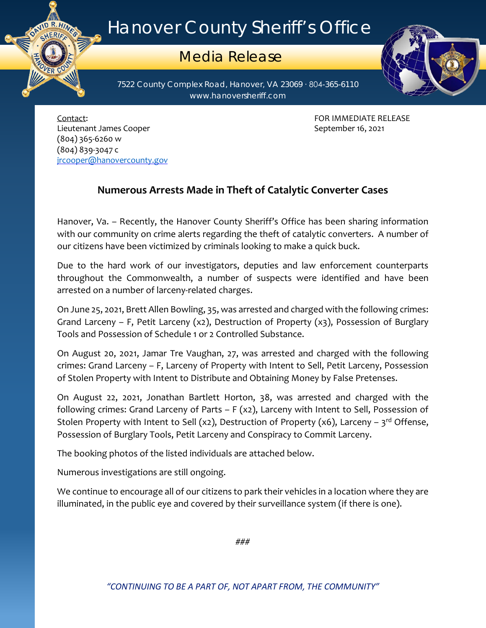## Hanover County Sheriff's Office

## Media Release

7522 County Complex Road, Hanover, VA 23069 ∙ 804-365-6110 www.hanoversheriff.com



Contact: FOR IMMEDIATE RELEASE Lieutenant James Cooper **September 16, 2021** September 16, 2021 (804) 365-6260 w (804) 839-3047 c [jrcooper@hanovercounty.gov](mailto:jrcooper@hanovercounty.gov)

ER CO

## **Numerous Arrests Made in Theft of Catalytic Converter Cases**

Hanover, Va. – Recently, the Hanover County Sheriff's Office has been sharing information with our community on crime alerts regarding the theft of catalytic converters. A number of our citizens have been victimized by criminals looking to make a quick buck.

Due to the hard work of our investigators, deputies and law enforcement counterparts throughout the Commonwealth, a number of suspects were identified and have been arrested on a number of larceny-related charges.

On June 25, 2021, Brett Allen Bowling, 35, was arrested and charged with the following crimes: Grand Larceny – F, Petit Larceny (x2), Destruction of Property (x3), Possession of Burglary Tools and Possession of Schedule 1 or 2 Controlled Substance.

On August 20, 2021, Jamar Tre Vaughan, 27, was arrested and charged with the following crimes: Grand Larceny – F, Larceny of Property with Intent to Sell, Petit Larceny, Possession of Stolen Property with Intent to Distribute and Obtaining Money by False Pretenses.

On August 22, 2021, Jonathan Bartlett Horton, 38, was arrested and charged with the following crimes: Grand Larceny of Parts – F (x2), Larceny with Intent to Sell, Possession of Stolen Property with Intent to Sell (x2), Destruction of Property (x6), Larceny –  $3^{rd}$  Offense, Possession of Burglary Tools, Petit Larceny and Conspiracy to Commit Larceny.

The booking photos of the listed individuals are attached below.

Numerous investigations are still ongoing.

We continue to encourage all of our citizens to park their vehicles in a location where they are illuminated, in the public eye and covered by their surveillance system (if there is one).

###